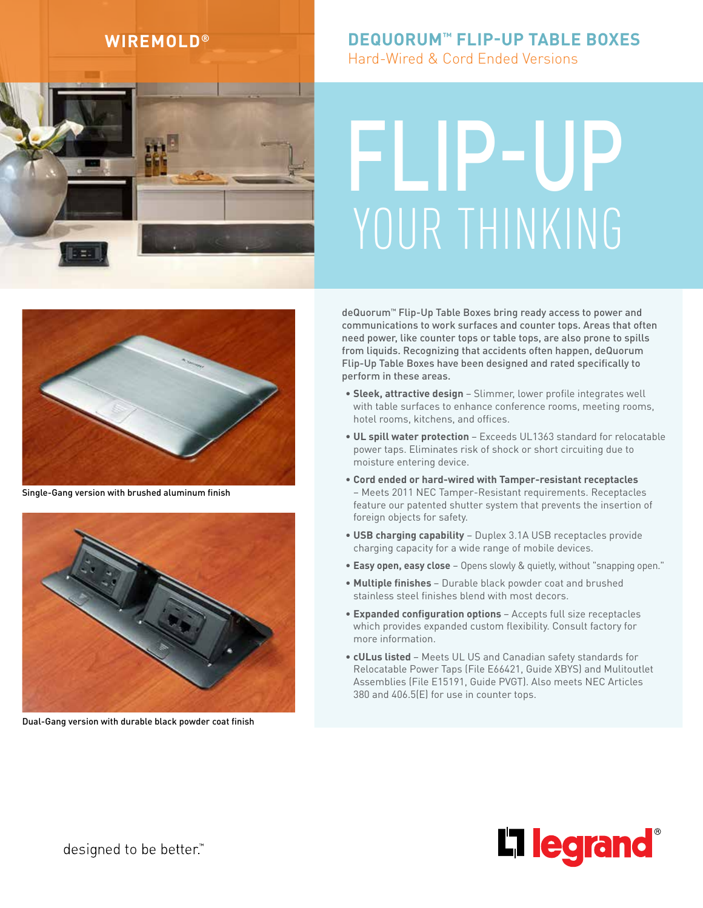

# **WIREMOLD® DEQUORUM™ FLIP-UP TABLE BOXES**

Hard-Wired & Cord Ended Versions

# YOUR THINKING FLIP-UP



Single-Gang version with brushed aluminum finish



Dual-Gang version with durable black powder coat finish

deQuorum™ Flip-Up Table Boxes bring ready access to power and communications to work surfaces and counter tops. Areas that often need power, like counter tops or table tops, are also prone to spills from liquids. Recognizing that accidents often happen, deQuorum Flip-Up Table Boxes have been designed and rated specifically to perform in these areas.

- **Sleek, attractive design**  Slimmer, lower profile integrates well with table surfaces to enhance conference rooms, meeting rooms, hotel rooms, kitchens, and offices.
- **UL spill water protection**  Exceeds UL1363 standard for relocatable power taps. Eliminates risk of shock or short circuiting due to moisture entering device.
- **Cord ended or hard-wired with Tamper-resistant receptacles** – Meets 2011 NEC Tamper-Resistant requirements. Receptacles feature our patented shutter system that prevents the insertion of foreign objects for safety.
- **USB charging capability** Duplex 3.1A USB receptacles provide charging capacity for a wide range of mobile devices.
- **Easy open, easy close** Opens slowly & quietly, without "snapping open."
- **Multiple finishes**  Durable black powder coat and brushed stainless steel finishes blend with most decors.
- **Expanded configuration options**  Accepts full size receptacles which provides expanded custom flexibility. Consult factory for more information.
- **cULus listed**  Meets UL US and Canadian safety standards for Relocatable Power Taps (File E66421, Guide XBYS) and Mulitoutlet Assemblies (File E15191, Guide PVGT). Also meets NEC Articles 380 and 406.5(E) for use in counter tops.